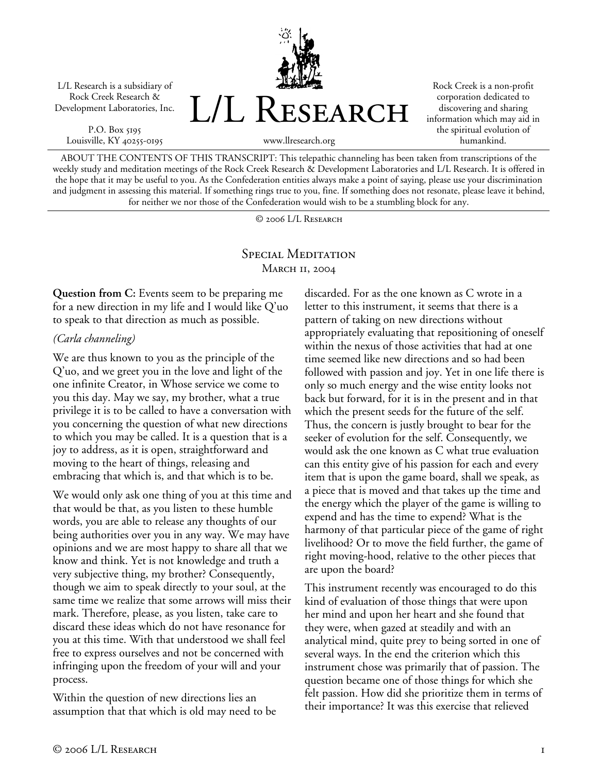L/L Research is a subsidiary of Rock Creek Research & Development Laboratories, Inc.

P.O. Box 5195 Louisville, KY 40255-0195



Rock Creek is a non-profit corporation dedicated to discovering and sharing information which may aid in the spiritual evolution of humankind.

ABOUT THE CONTENTS OF THIS TRANSCRIPT: This telepathic channeling has been taken from transcriptions of the weekly study and meditation meetings of the Rock Creek Research & Development Laboratories and L/L Research. It is offered in the hope that it may be useful to you. As the Confederation entities always make a point of saying, please use your discrimination and judgment in assessing this material. If something rings true to you, fine. If something does not resonate, please leave it behind, for neither we nor those of the Confederation would wish to be a stumbling block for any.

© 2006 L/L Research

## SPECIAL MEDITATION **MARCH 11, 2004**

**Question from C:** Events seem to be preparing me for a new direction in my life and I would like Q'uo to speak to that direction as much as possible.

## *(Carla channeling)*

We are thus known to you as the principle of the Q'uo, and we greet you in the love and light of the one infinite Creator, in Whose service we come to you this day. May we say, my brother, what a true privilege it is to be called to have a conversation with you concerning the question of what new directions to which you may be called. It is a question that is a joy to address, as it is open, straightforward and moving to the heart of things, releasing and embracing that which is, and that which is to be.

We would only ask one thing of you at this time and that would be that, as you listen to these humble words, you are able to release any thoughts of our being authorities over you in any way. We may have opinions and we are most happy to share all that we know and think. Yet is not knowledge and truth a very subjective thing, my brother? Consequently, though we aim to speak directly to your soul, at the same time we realize that some arrows will miss their mark. Therefore, please, as you listen, take care to discard these ideas which do not have resonance for you at this time. With that understood we shall feel free to express ourselves and not be concerned with infringing upon the freedom of your will and your process.

Within the question of new directions lies an assumption that that which is old may need to be discarded. For as the one known as C wrote in a letter to this instrument, it seems that there is a pattern of taking on new directions without appropriately evaluating that repositioning of oneself within the nexus of those activities that had at one time seemed like new directions and so had been followed with passion and joy. Yet in one life there is only so much energy and the wise entity looks not back but forward, for it is in the present and in that which the present seeds for the future of the self. Thus, the concern is justly brought to bear for the seeker of evolution for the self. Consequently, we would ask the one known as C what true evaluation can this entity give of his passion for each and every item that is upon the game board, shall we speak, as a piece that is moved and that takes up the time and the energy which the player of the game is willing to expend and has the time to expend? What is the harmony of that particular piece of the game of right livelihood? Or to move the field further, the game of right moving-hood, relative to the other pieces that are upon the board?

This instrument recently was encouraged to do this kind of evaluation of those things that were upon her mind and upon her heart and she found that they were, when gazed at steadily and with an analytical mind, quite prey to being sorted in one of several ways. In the end the criterion which this instrument chose was primarily that of passion. The question became one of those things for which she felt passion. How did she prioritize them in terms of their importance? It was this exercise that relieved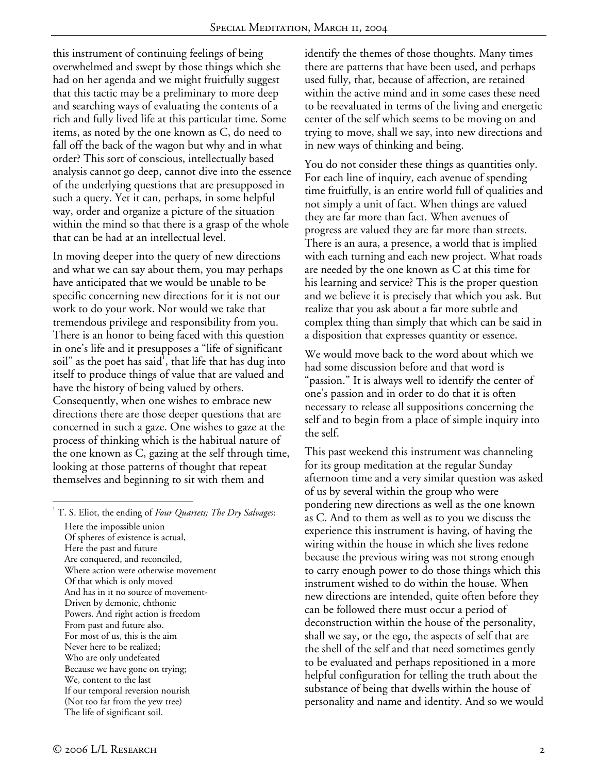this instrument of continuing feelings of being overwhelmed and swept by those things which she had on her agenda and we might fruitfully suggest that this tactic may be a preliminary to more deep and searching ways of evaluating the contents of a rich and fully lived life at this particular time. Some items, as noted by the one known as C, do need to fall off the back of the wagon but why and in what order? This sort of conscious, intellectually based analysis cannot go deep, cannot dive into the essence of the underlying questions that are presupposed in such a query. Yet it can, perhaps, in some helpful way, order and organize a picture of the situation within the mind so that there is a grasp of the whole that can be had at an intellectual level.

In moving deeper into the query of new directions and what we can say about them, you may perhaps have anticipated that we would be unable to be specific concerning new directions for it is not our work to do your work. Nor would we take that tremendous privilege and responsibility from you. There is an honor to being faced with this question in one's life and it presupposes a "life of significant soil" as the poet has said $^1$ , that life that has dug into itself to produce things of value that are valued and have the history of being valued by others. Consequently, when one wishes to embrace new directions there are those deeper questions that are concerned in such a gaze. One wishes to gaze at the process of thinking which is the habitual nature of the one known as C, gazing at the self through time, looking at those patterns of thought that repeat themselves and beginning to sit with them and

identify the themes of those thoughts. Many times there are patterns that have been used, and perhaps used fully, that, because of affection, are retained within the active mind and in some cases these need to be reevaluated in terms of the living and energetic center of the self which seems to be moving on and trying to move, shall we say, into new directions and in new ways of thinking and being.

You do not consider these things as quantities only. For each line of inquiry, each avenue of spending time fruitfully, is an entire world full of qualities and not simply a unit of fact. When things are valued they are far more than fact. When avenues of progress are valued they are far more than streets. There is an aura, a presence, a world that is implied with each turning and each new project. What roads are needed by the one known as C at this time for his learning and service? This is the proper question and we believe it is precisely that which you ask. But realize that you ask about a far more subtle and complex thing than simply that which can be said in a disposition that expresses quantity or essence.

We would move back to the word about which we had some discussion before and that word is "passion." It is always well to identify the center of one's passion and in order to do that it is often necessary to release all suppositions concerning the self and to begin from a place of simple inquiry into the self.

This past weekend this instrument was channeling for its group meditation at the regular Sunday afternoon time and a very similar question was asked of us by several within the group who were pondering new directions as well as the one known as C. And to them as well as to you we discuss the experience this instrument is having, of having the wiring within the house in which she lives redone because the previous wiring was not strong enough to carry enough power to do those things which this instrument wished to do within the house. When new directions are intended, quite often before they can be followed there must occur a period of deconstruction within the house of the personality, shall we say, or the ego, the aspects of self that are the shell of the self and that need sometimes gently to be evaluated and perhaps repositioned in a more helpful configuration for telling the truth about the substance of being that dwells within the house of personality and name and identity. And so we would

 $\overline{a}$ 

<sup>1</sup> T. S. Eliot, the ending of *Four Quartets; The Dry Salvages*: Here the impossible union Of spheres of existence is actual, Here the past and future Are conquered, and reconciled, Where action were otherwise movement Of that which is only moved And has in it no source of movement-Driven by demonic, chthonic Powers. And right action is freedom From past and future also. For most of us, this is the aim Never here to be realized; Who are only undefeated Because we have gone on trying; We, content to the last If our temporal reversion nourish (Not too far from the yew tree) The life of significant soil.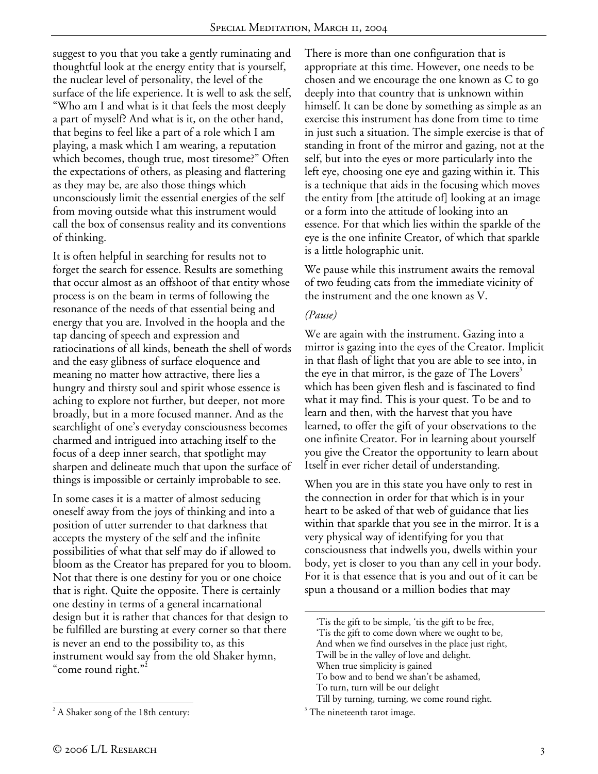suggest to you that you take a gently ruminating and thoughtful look at the energy entity that is yourself, the nuclear level of personality, the level of the surface of the life experience. It is well to ask the self, "Who am I and what is it that feels the most deeply a part of myself? And what is it, on the other hand, that begins to feel like a part of a role which I am playing, a mask which I am wearing, a reputation which becomes, though true, most tiresome?" Often the expectations of others, as pleasing and flattering as they may be, are also those things which unconsciously limit the essential energies of the self from moving outside what this instrument would call the box of consensus reality and its conventions of thinking.

It is often helpful in searching for results not to forget the search for essence. Results are something that occur almost as an offshoot of that entity whose process is on the beam in terms of following the resonance of the needs of that essential being and energy that you are. Involved in the hoopla and the tap dancing of speech and expression and ratiocinations of all kinds, beneath the shell of words and the easy glibness of surface eloquence and meaning no matter how attractive, there lies a hungry and thirsty soul and spirit whose essence is aching to explore not further, but deeper, not more broadly, but in a more focused manner. And as the searchlight of one's everyday consciousness becomes charmed and intrigued into attaching itself to the focus of a deep inner search, that spotlight may sharpen and delineate much that upon the surface of things is impossible or certainly improbable to see.

In some cases it is a matter of almost seducing oneself away from the joys of thinking and into a position of utter surrender to that darkness that accepts the mystery of the self and the infinite possibilities of what that self may do if allowed to bloom as the Creator has prepared for you to bloom. Not that there is one destiny for you or one choice that is right. Quite the opposite. There is certainly one destiny in terms of a general incarnational design but it is rather that chances for that design to be fulfilled are bursting at every corner so that there is never an end to the possibility to, as this instrument would say from the old Shaker hymn, "come round right."<sup>2</sup>

We pause while this instrument awaits the removal of two feuding cats from the immediate vicinity of the instrument and the one known as V.

## *(Pause)*

 $\overline{a}$ 

We are again with the instrument. Gazing into a mirror is gazing into the eyes of the Creator. Implicit in that flash of light that you are able to see into, in the eye in that mirror, is the gaze of The Lovers<sup>3</sup> which has been given flesh and is fascinated to find what it may find. This is your quest. To be and to learn and then, with the harvest that you have learned, to offer the gift of your observations to the one infinite Creator. For in learning about yourself you give the Creator the opportunity to learn about Itself in ever richer detail of understanding.

When you are in this state you have only to rest in the connection in order for that which is in your heart to be asked of that web of guidance that lies within that sparkle that you see in the mirror. It is a very physical way of identifying for you that consciousness that indwells you, dwells within your body, yet is closer to you than any cell in your body. For it is that essence that is you and out of it can be spun a thousand or a million bodies that may

To turn, turn will be our delight

There is more than one configuration that is appropriate at this time. However, one needs to be chosen and we encourage the one known as C to go deeply into that country that is unknown within himself. It can be done by something as simple as an exercise this instrument has done from time to time in just such a situation. The simple exercise is that of standing in front of the mirror and gazing, not at the self, but into the eyes or more particularly into the left eye, choosing one eye and gazing within it. This is a technique that aids in the focusing which moves the entity from [the attitude of] looking at an image or a form into the attitude of looking into an essence. For that which lies within the sparkle of the eye is the one infinite Creator, of which that sparkle is a little holographic unit.

<sup>&#</sup>x27;Tis the gift to be simple, 'tis the gift to be free,

<sup>&#</sup>x27;Tis the gift to come down where we ought to be,

And when we find ourselves in the place just right,

Twill be in the valley of love and delight.

When true simplicity is gained

To bow and to bend we shan't be ashamed,

Till by turning, turning, we come round right.

 $\beta$ <sup>3</sup> The nineteenth tarot image.

 $\overline{a}$  $2^2$  A Shaker song of the 18th century: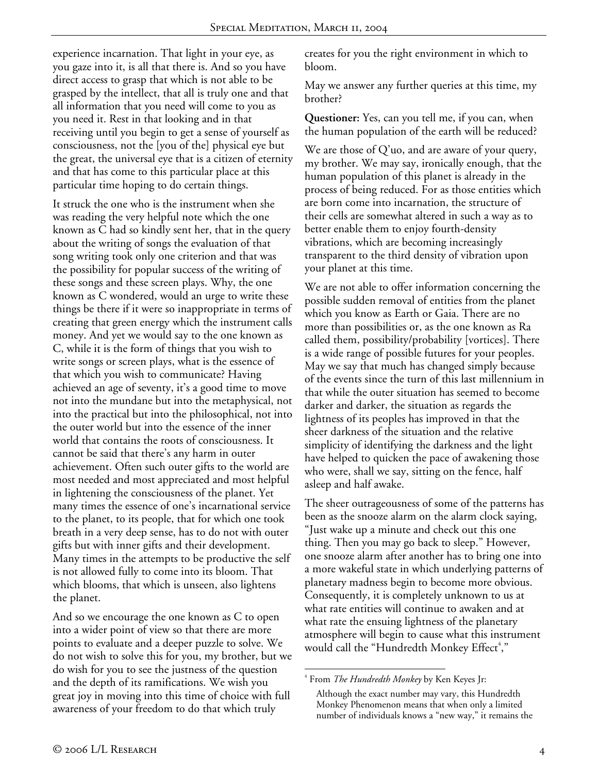experience incarnation. That light in your eye, as you gaze into it, is all that there is. And so you have direct access to grasp that which is not able to be grasped by the intellect, that all is truly one and that all information that you need will come to you as you need it. Rest in that looking and in that receiving until you begin to get a sense of yourself as consciousness, not the [you of the] physical eye but the great, the universal eye that is a citizen of eternity and that has come to this particular place at this particular time hoping to do certain things.

It struck the one who is the instrument when she was reading the very helpful note which the one known as C had so kindly sent her, that in the query about the writing of songs the evaluation of that song writing took only one criterion and that was the possibility for popular success of the writing of these songs and these screen plays. Why, the one known as C wondered, would an urge to write these things be there if it were so inappropriate in terms of creating that green energy which the instrument calls money. And yet we would say to the one known as C, while it is the form of things that you wish to write songs or screen plays, what is the essence of that which you wish to communicate? Having achieved an age of seventy, it's a good time to move not into the mundane but into the metaphysical, not into the practical but into the philosophical, not into the outer world but into the essence of the inner world that contains the roots of consciousness. It cannot be said that there's any harm in outer achievement. Often such outer gifts to the world are most needed and most appreciated and most helpful in lightening the consciousness of the planet. Yet many times the essence of one's incarnational service to the planet, to its people, that for which one took breath in a very deep sense, has to do not with outer gifts but with inner gifts and their development. Many times in the attempts to be productive the self is not allowed fully to come into its bloom. That which blooms, that which is unseen, also lightens the planet.

And so we encourage the one known as C to open into a wider point of view so that there are more points to evaluate and a deeper puzzle to solve. We do not wish to solve this for you, my brother, but we do wish for you to see the justness of the question and the depth of its ramifications. We wish you great joy in moving into this time of choice with full awareness of your freedom to do that which truly

creates for you the right environment in which to bloom.

May we answer any further queries at this time, my brother?

**Questioner:** Yes, can you tell me, if you can, when the human population of the earth will be reduced?

We are those of  $Q'$ uo, and are aware of your query, my brother. We may say, ironically enough, that the human population of this planet is already in the process of being reduced. For as those entities which are born come into incarnation, the structure of their cells are somewhat altered in such a way as to better enable them to enjoy fourth-density vibrations, which are becoming increasingly transparent to the third density of vibration upon your planet at this time.

We are not able to offer information concerning the possible sudden removal of entities from the planet which you know as Earth or Gaia. There are no more than possibilities or, as the one known as Ra called them, possibility/probability [vortices]. There is a wide range of possible futures for your peoples. May we say that much has changed simply because of the events since the turn of this last millennium in that while the outer situation has seemed to become darker and darker, the situation as regards the lightness of its peoples has improved in that the sheer darkness of the situation and the relative simplicity of identifying the darkness and the light have helped to quicken the pace of awakening those who were, shall we say, sitting on the fence, half asleep and half awake.

The sheer outrageousness of some of the patterns has been as the snooze alarm on the alarm clock saying, "Just wake up a minute and check out this one thing. Then you may go back to sleep." However, one snooze alarm after another has to bring one into a more wakeful state in which underlying patterns of planetary madness begin to become more obvious. Consequently, it is completely unknown to us at what rate entities will continue to awaken and at what rate the ensuing lightness of the planetary atmosphere will begin to cause what this instrument would call the "Hundredth Monkey Effect<sup>4</sup>,"

<sup>&</sup>lt;u>.</u> 4 From *The Hundredth Monkey* by Ken Keyes Jr:

Although the exact number may vary, this Hundredth Monkey Phenomenon means that when only a limited number of individuals knows a "new way," it remains the